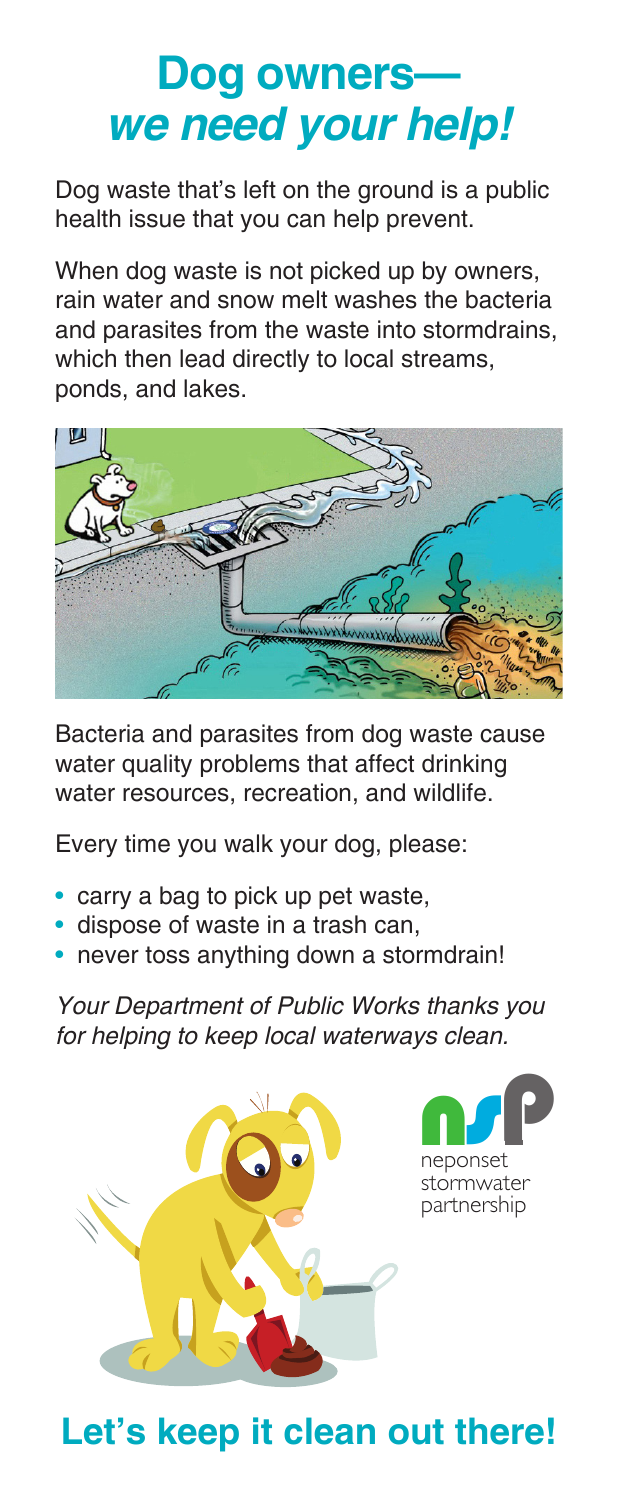## **Dog owners we need your help!**

Dog waste that's left on the ground is a public health issue that you can help prevent.

When dog waste is not picked up by owners, rain water and snow melt washes the bacteria and parasites from the waste into stormdrains, which then lead directly to local streams, ponds, and lakes.



Bacteria and parasites from dog waste cause water quality problems that affect drinking water resources, recreation, and wildlife.

Every time you walk your dog, please:

- carry a bag to pick up pet waste,
- dispose of waste in a trash can,
- never toss anything down a stormdrain!

Your Department of Public Works thanks you for helping to keep local waterways clean.



**Let's keep it clean out there!**